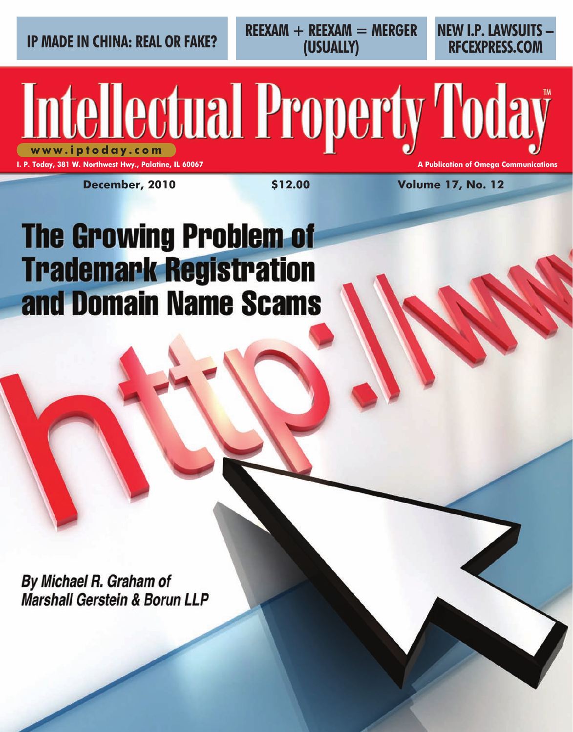**IP MADE IN CHINA: REAL OR FAKE?** REEXAM + REEXAM = MERGER NEW I.P. LAWSUITS **REEXAM + REEXAM = MERGER (USUALLY)**

**RFCEXPRESS.COM**

**I. P. Today, 381 W. Northwest Hwy., Palatine, IL 60067 A Publication of Omega Communication of Omega Communications** 

**December, 2010 \$12.00 Volume 17, No. 12**

**Intellectual Property Today** 

# **The Growing Problem of Trademark Registration** and Domain Name Scams

By Michael R. Graham of **Marshall Gerstein & Borun LLP**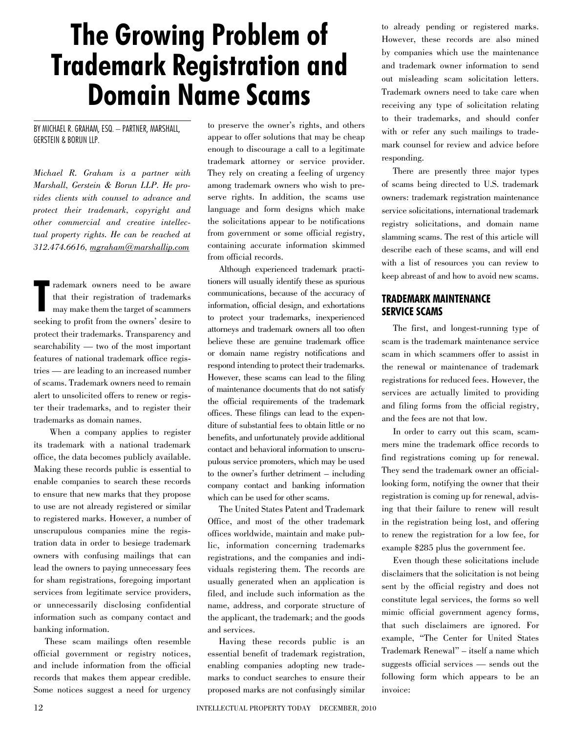# **The Growing Problem of Trademark Registration and Domain Name Scams**

#### By Michael R. Graham, Esq. – Partner, Marshall, Gerstein & Borun LLP.

*Michael R. Graham is a partner with Marshall, Gerstein & Borun LLP. He provides clients with counsel to advance and protect their trademark, copyright and other commercial and creative intellectual property rights. He can be reached at 312.474.6616, mgraham@marshallip.com*

**T** rademark owners need to be aware that their registration of trademarks may make them the target of scammers seeking to profit from the owners' desire to protect their trademarks. Transparency and searchability — two of the most important features of national trademark office registries — are leading to an increased number of scams. Trademark owners need to remain alert to unsolicited offers to renew or register their trademarks, and to register their trademarks as domain names.

When a company applies to register its trademark with a national trademark office, the data becomes publicly available. Making these records public is essential to enable companies to search these records to ensure that new marks that they propose to use are not already registered or similar to registered marks. However, a number of unscrupulous companies mine the registration data in order to besiege trademark owners with confusing mailings that can lead the owners to paying unnecessary fees for sham registrations, foregoing important services from legitimate service providers, or unnecessarily disclosing confidential information such as company contact and banking information.

These scam mailings often resemble official government or registry notices, and include information from the official records that makes them appear credible. Some notices suggest a need for urgency to preserve the owner's rights, and others appear to offer solutions that may be cheap enough to discourage a call to a legitimate trademark attorney or service provider. They rely on creating a feeling of urgency among trademark owners who wish to preserve rights. In addition, the scams use language and form designs which make the solicitations appear to be notifications from government or some official registry, containing accurate information skimmed from official records.

Although experienced trademark practitioners will usually identify these as spurious communications, because of the accuracy of information, official design, and exhortations to protect your trademarks, inexperienced attorneys and trademark owners all too often believe these are genuine trademark office or domain name registry notifications and respond intending to protect their trademarks. However, these scams can lead to the filing of maintenance documents that do not satisfy the official requirements of the trademark offices. These filings can lead to the expenditure of substantial fees to obtain little or no benefits, and unfortunately provide additional contact and behavioral information to unscrupulous service promoters, which may be used to the owner's further detriment – including company contact and banking information which can be used for other scams.

The United States Patent and Trademark Office, and most of the other trademark offices worldwide, maintain and make public, information concerning trademarks registrations, and the companies and individuals registering them. The records are usually generated when an application is filed, and include such information as the name, address, and corporate structure of the applicant, the trademark; and the goods and services.

Having these records public is an essential benefit of trademark registration, enabling companies adopting new trademarks to conduct searches to ensure their proposed marks are not confusingly similar

to already pending or registered marks. However, these records are also mined by companies which use the maintenance and trademark owner information to send out misleading scam solicitation letters. Trademark owners need to take care when receiving any type of solicitation relating to their trademarks, and should confer with or refer any such mailings to trademark counsel for review and advice before responding.

There are presently three major types of scams being directed to U.S. trademark owners: trademark registration maintenance service solicitations, international trademark registry solicitations, and domain name slamming scams. The rest of this article will describe each of these scams, and will end with a list of resources you can review to keep abreast of and how to avoid new scams.

# **Trademark Maintenance Service Scams**

The first, and longest-running type of scam is the trademark maintenance service scam in which scammers offer to assist in the renewal or maintenance of trademark registrations for reduced fees. However, the services are actually limited to providing and filing forms from the official registry, and the fees are not that low.

In order to carry out this scam, scammers mine the trademark office records to find registrations coming up for renewal. They send the trademark owner an officiallooking form, notifying the owner that their registration is coming up for renewal, advising that their failure to renew will result in the registration being lost, and offering to renew the registration for a low fee, for example \$285 plus the government fee.

Even though these solicitations include disclaimers that the solicitation is not being sent by the official registry and does not constitute legal services, the forms so well mimic official government agency forms, that such disclaimers are ignored. For example, "The Center for United States Trademark Renewal" – itself a name which suggests official services — sends out the following form which appears to be an invoice: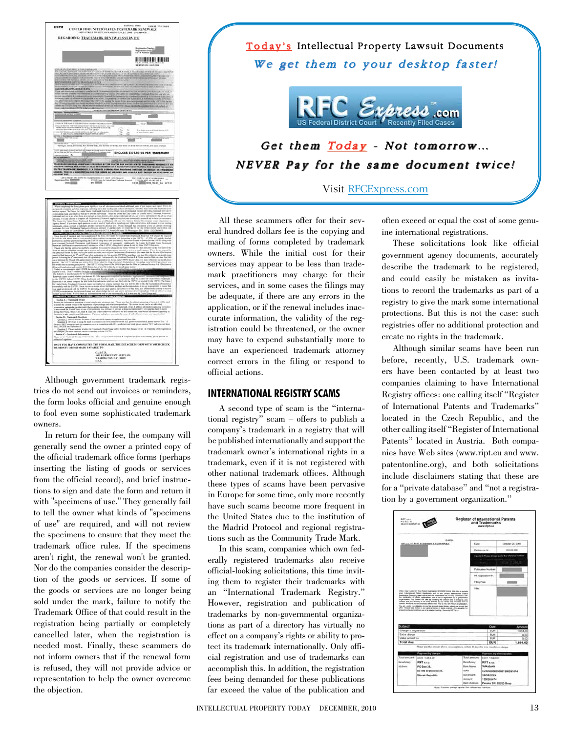

Although government trademark registries do not send out invoices or reminders, the form looks official and genuine enough to fool even some sophisticated trademark owners.

In return for their fee, the company will generally send the owner a printed copy of the official trademark office forms (perhaps inserting the listing of goods or services from the official record), and brief instructions to sign and date the form and return it with "specimens of use." They generally fail to tell the owner what kinds of "specimens of use" are required, and will not review the specimens to ensure that they meet the trademark office rules. If the specimens aren't right, the renewal won't be granted. Nor do the companies consider the description of the goods or services. If some of the goods or services are no longer being sold under the mark, failure to notify the Trademark Office of that could result in the registration being partially or completely cancelled later, when the registration is needed most. Finally, these scammers do not inform owners that if the renewal form is refused, they will not provide advice or representation to help the owner overcome the objection.

# Today's Intellectual Property Lawsuit Documents We get them to your desktop faster!



Get them  $Today - Not tomorrow...$ NEVER Pay for the same document twice!

Visit RFCExpress.com

All these scammers offer for their several hundred dollars fee is the copying and mailing of forms completed by trademark owners. While the initial cost for their services may appear to be less than trademark practitioners may charge for their services, and in some cases the filings may be adequate, if there are any errors in the application, or if the renewal includes inaccurate information, the validity of the registration could be threatened, or the owner may have to expend substantially more to have an experienced trademark attorney correct errors in the filing or respond to official actions.

### **International Registry Scams**

A second type of scam is the "international registry" scam – offers to publish a company's trademark in a registry that will be published internationally and support the trademark owner's international rights in a trademark, even if it is not registered with other national trademark offices. Although these types of scams have been pervasive in Europe for some time, only more recently have such scams become more frequent in the United States due to the institution of the Madrid Protocol and regional registrations such as the Community Trade Mark.

In this scam, companies which own federally registered trademarks also receive official-looking solicitations, this time inviting them to register their trademarks with an "International Trademark Registry." However, registration and publication of trademarks by non-governmental organizations as part of a directory has virtually no effect on a company's rights or ability to protect its trademark internationally. Only official registration and use of trademarks can accomplish this. In addition, the registration fees being demanded for these publications far exceed the value of the publication and

often exceed or equal the cost of some genuine international registrations.

These solicitations look like official government agency documents, accurately describe the trademark to be registered, and could easily be mistaken as invitations to record the trademarks as part of a registry to give the mark some international protections. But this is not the case: such registries offer no additional protection and create no rights in the trademark.

Although similar scams have been run before, recently, U.S. trademark owners have been contacted by at least two companies claiming to have International Registry offices: one calling itself "Register of International Patents and Trademarks" located in the Czech Republic, and the other calling itself "Register of International Patents" located in Austria. Both companies have Web sites (www.ript.eu and www. patentonline.org), and both solicitations include disclaimers stating that these are for a "private database" and "not a registration by a government organization."

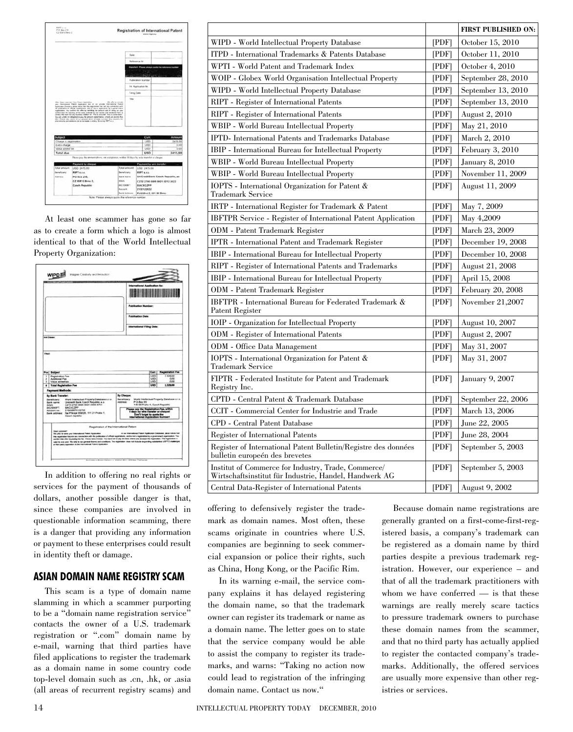

At least one scammer has gone so far as to create a form which a logo is almost identical to that of the World Intellectual Property Organization:



In addition to offering no real rights or services for the payment of thousands of dollars, another possible danger is that, since these companies are involved in questionable information scamming, there is a danger that providing any information or payment to these enterprises could result in identity theft or damage.

## **Asian Domain Name Registry Scam**

This scam is a type of domain name slamming in which a scammer purporting to be a "domain name registration service" contacts the owner of a U.S. trademark registration or ".com" domain name by e-mail, warning that third parties have filed applications to register the trademark as a domain name in some country code top-level domain such as .cn, .hk, or .asia (all areas of recurrent registry scams) and

|                                                                                                               |              | <b>FIRST PUBLISHED ON:</b> |
|---------------------------------------------------------------------------------------------------------------|--------------|----------------------------|
| WIPD - World Intellectual Property Database                                                                   | [PDF]        | October 15, 2010           |
| ITPD - International Trademarks & Patents Database                                                            | [PDF]        | October 11, 2010           |
| WPTI - World Patent and Trademark Index                                                                       | [PDF]        | October 4, 2010            |
| WOIP - Globex World Organisation Intellectual Property                                                        | [PDF]        | September 28, 2010         |
| WIPD - World Intellectual Property Database                                                                   | [PDF]        | September 13, 2010         |
| RIPT - Register of International Patents                                                                      | [PDF]        | September 13, 2010         |
| RIPT - Register of International Patents                                                                      | <b>[PDF]</b> | <b>August 2, 2010</b>      |
| WBIP - World Bureau Intellectual Property                                                                     | [PDF]        | May 21, 2010               |
| <b>IPTD-</b> International Patents and Trademarks Database                                                    | [PDF]        | March 2, 2010              |
| IBIP - International Bureau for Intellectual Property                                                         | [PDF]        | February 3, 2010           |
| WBIP - World Bureau Intellectual Property                                                                     | [PDF]        | <b>January 8, 2010</b>     |
| WBIP - World Bureau Intellectual Property                                                                     | [PDF]        | November 11, 2009          |
| IOPTS - International Organization for Patent $\&$<br><b>Trademark Service</b>                                | [PDF]        | August 11, 2009            |
| IRTP - International Register for Trademark & Patent                                                          | [PDF]        | May 7, 2009                |
| <b>IBFTPR</b> Service - Register of International Patent Application                                          | <b>[PDF]</b> | May 4,2009                 |
| <b>ODM</b> - Patent Trademark Register                                                                        | [PDF]        | March 23, 2009             |
| <b>IPTR</b> - International Patent and Trademark Register                                                     | [PDF]        | December 19, 2008          |
| <b>IBIP</b> - International Bureau for Intellectual Property                                                  | [PDF]        | December 10, 2008          |
| RIPT - Register of International Patents and Trademarks                                                       | [PDF]        | August 21, 2008            |
| IBIP - International Bureau for Intellectual Property                                                         | [PDF]        | April 15, 2008             |
| <b>ODM</b> - Patent Trademark Register                                                                        | [PDF]        | February 20, 2008          |
| IBFTPR - International Bureau for Federated Trademark &<br>Patent Register                                    | [PDF]        | November $21,2007$         |
| IOIP - Organization for Intellectual Property                                                                 | [PDF]        | August 10, 2007            |
| ODM - Register of International Patents                                                                       | [PDF]        | <b>August 2, 2007</b>      |
| ODM - Office Data Management                                                                                  | [PDF]        | May 31, 2007               |
| IOPTS - International Organization for Patent &<br>Trademark Service                                          | [PDF]        | May 31, 2007               |
| FIPTR - Federated Institute for Patent and Trademark<br>Registry Inc.                                         | [PDF]        | <b>January 9, 2007</b>     |
| CPTD - Central Patent & Trademark Database                                                                    | [PDF]        | September 22, 2006         |
| CCIT - Commercial Center for Industrie and Trade                                                              | [PDF]        | March 13, 2006             |
| CPD - Central Patent Database                                                                                 | [PDF]        | June 22, 2005              |
| Register of International Patents                                                                             | [PDF]        | June 28, 2004              |
| Register of International Patent Bulletin/Registre des données<br>bulletin europeén des brevetes              | [PDF]        | September 5, 2003          |
| Institut of Commerce for Industry, Trade, Commerce/<br>Wirtschaftsinstitut für Industrie, Handel, Handwerk AG | [PDF]        | September 5, 2003          |
| Central Data-Register of International Patents                                                                | [PDF]        | August 9, 2002             |

offering to defensively register the trademark as domain names. Most often, these scams originate in countries where U.S. companies are beginning to seek commercial expansion or police their rights, such as China, Hong Kong, or the Pacific Rim.

In its warning e-mail, the service company explains it has delayed registering the domain name, so that the trademark owner can register its trademark or name as a domain name. The letter goes on to state that the service company would be able to assist the company to register its trademarks, and warns: "Taking no action now could lead to registration of the infringing domain name. Contact us now."

Because domain name registrations are generally granted on a first-come-first-registered basis, a company's trademark can be registered as a domain name by third parties despite a previous trademark registration. However, our experience – and that of all the trademark practitioners with whom we have conferred — is that these warnings are really merely scare tactics to pressure trademark owners to purchase these domain names from the scammer, and that no third party has actually applied to register the contacted company's trademarks. Additionally, the offered services are usually more expensive than other registries or services.